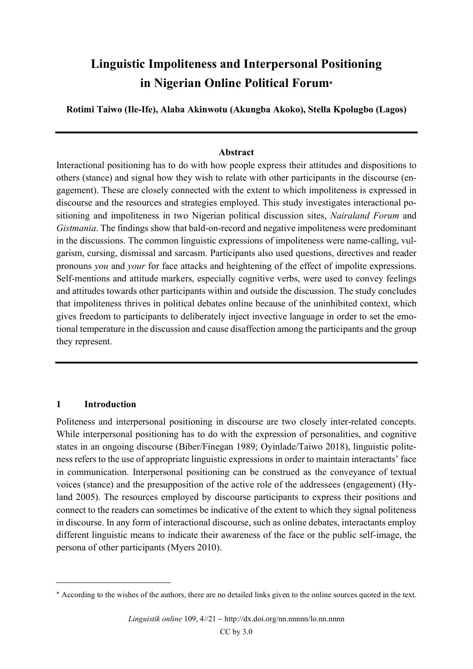# Linguistic Impoliteness and Interpersonal Positioning in Nigerian Online Political Forum

Rotimi Taiwo (Ile-Ife), Alaba Akinwotu (Akungba Akoko), Stella Kpolugbo (Lagos)

#### Abstract

Interactional positioning has to do with how people express their attitudes and dispositions to others (stance) and signal how they wish to relate with other participants in the discourse (engagement). These are closely connected with the extent to which impoliteness is expressed in discourse and the resources and strategies employed. This study investigates interactional positioning and impoliteness in two Nigerian political discussion sites, Nairaland Forum and Gistmania. The findings show that bald-on-record and negative impoliteness were predominant in the discussions. The common linguistic expressions of impoliteness were name-calling, vulgarism, cursing, dismissal and sarcasm. Participants also used questions, directives and reader pronouns you and your for face attacks and heightening of the effect of impolite expressions. Self-mentions and attitude markers, especially cognitive verbs, were used to convey feelings and attitudes towards other participants within and outside the discussion. The study concludes that impoliteness thrives in political debates online because of the uninhibited context, which gives freedom to participants to deliberately inject invective language in order to set the emotional temperature in the discussion and cause disaffection among the participants and the group they represent.

## 1 Introduction

Politeness and interpersonal positioning in discourse are two closely inter-related concepts. While interpersonal positioning has to do with the expression of personalities, and cognitive states in an ongoing discourse (Biber/Finegan 1989; Oyinlade/Taiwo 2018), linguistic politeness refers to the use of appropriate linguistic expressions in order to maintain interactants' face in communication. Interpersonal positioning can be construed as the conveyance of textual voices (stance) and the presupposition of the active role of the addressees (engagement) (Hyland 2005). The resources employed by discourse participants to express their positions and connect to the readers can sometimes be indicative of the extent to which they signal politeness in discourse. In any form of interactional discourse, such as online debates, interactants employ different linguistic means to indicate their awareness of the face or the public self-image, the persona of other participants (Myers 2010).

According to the wishes of the authors, there are no detailed links given to the online sources quoted in the text.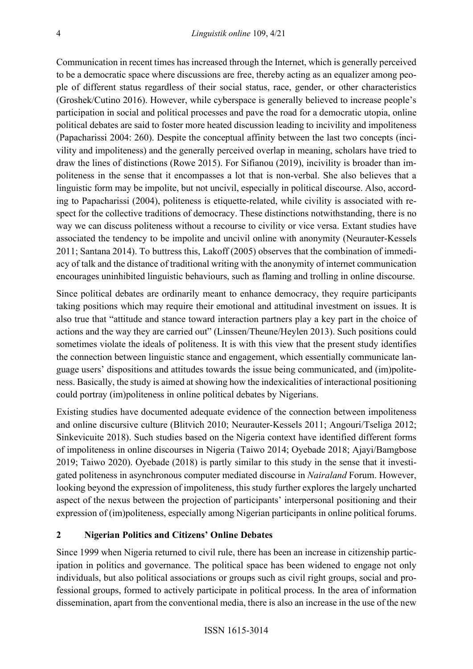Communication in recent times has increased through the Internet, which is generally perceived to be a democratic space where discussions are free, thereby acting as an equalizer among people of different status regardless of their social status, race, gender, or other characteristics (Groshek/Cutino 2016). However, while cyberspace is generally believed to increase people's participation in social and political processes and pave the road for a democratic utopia, online political debates are said to foster more heated discussion leading to incivility and impoliteness (Papacharissi 2004: 260). Despite the conceptual affinity between the last two concepts (incivility and impoliteness) and the generally perceived overlap in meaning, scholars have tried to draw the lines of distinctions (Rowe 2015). For Sifianou (2019), incivility is broader than impoliteness in the sense that it encompasses a lot that is non-verbal. She also believes that a linguistic form may be impolite, but not uncivil, especially in political discourse. Also, according to Papacharissi (2004), politeness is etiquette-related, while civility is associated with respect for the collective traditions of democracy. These distinctions notwithstanding, there is no way we can discuss politeness without a recourse to civility or vice versa. Extant studies have associated the tendency to be impolite and uncivil online with anonymity (Neurauter-Kessels 2011; Santana 2014). To buttress this, Lakoff (2005) observes that the combination of immediacy of talk and the distance of traditional writing with the anonymity of internet communication encourages uninhibited linguistic behaviours, such as flaming and trolling in online discourse.

Since political debates are ordinarily meant to enhance democracy, they require participants taking positions which may require their emotional and attitudinal investment on issues. It is also true that "attitude and stance toward interaction partners play a key part in the choice of actions and the way they are carried out" (Linssen/Theune/Heylen 2013). Such positions could sometimes violate the ideals of politeness. It is with this view that the present study identifies the connection between linguistic stance and engagement, which essentially communicate language users' dispositions and attitudes towards the issue being communicated, and (im)politeness. Basically, the study is aimed at showing how the indexicalities of interactional positioning could portray (im)politeness in online political debates by Nigerians.

Existing studies have documented adequate evidence of the connection between impoliteness and online discursive culture (Blitvich 2010; Neurauter-Kessels 2011; Angouri/Tseliga 2012; Sinkevicuite 2018). Such studies based on the Nigeria context have identified different forms of impoliteness in online discourses in Nigeria (Taiwo 2014; Oyebade 2018; Ajayi/Bamgbose 2019; Taiwo 2020). Oyebade (2018) is partly similar to this study in the sense that it investigated politeness in asynchronous computer mediated discourse in Nairaland Forum. However, looking beyond the expression of impoliteness, this study further explores the largely uncharted aspect of the nexus between the projection of participants' interpersonal positioning and their expression of (im)politeness, especially among Nigerian participants in online political forums.

#### 2 Nigerian Politics and Citizens' Online Debates

Since 1999 when Nigeria returned to civil rule, there has been an increase in citizenship participation in politics and governance. The political space has been widened to engage not only individuals, but also political associations or groups such as civil right groups, social and professional groups, formed to actively participate in political process. In the area of information dissemination, apart from the conventional media, there is also an increase in the use of the new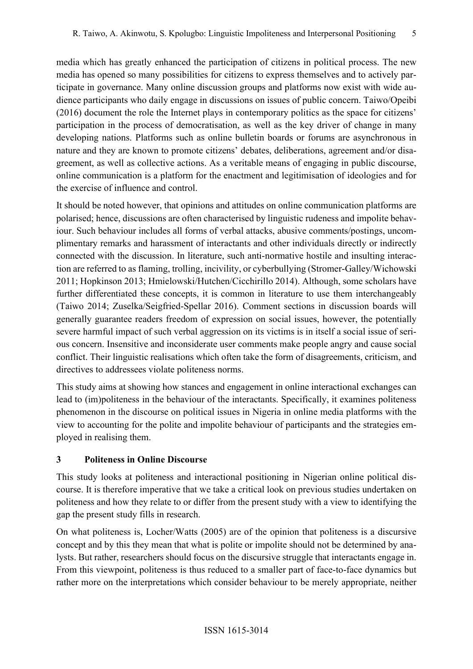media which has greatly enhanced the participation of citizens in political process. The new media has opened so many possibilities for citizens to express themselves and to actively participate in governance. Many online discussion groups and platforms now exist with wide audience participants who daily engage in discussions on issues of public concern. Taiwo/Opeibi (2016) document the role the Internet plays in contemporary politics as the space for citizens' participation in the process of democratisation, as well as the key driver of change in many developing nations. Platforms such as online bulletin boards or forums are asynchronous in nature and they are known to promote citizens' debates, deliberations, agreement and/or disagreement, as well as collective actions. As a veritable means of engaging in public discourse, online communication is a platform for the enactment and legitimisation of ideologies and for the exercise of influence and control.

It should be noted however, that opinions and attitudes on online communication platforms are polarised; hence, discussions are often characterised by linguistic rudeness and impolite behaviour. Such behaviour includes all forms of verbal attacks, abusive comments/postings, uncomplimentary remarks and harassment of interactants and other individuals directly or indirectly connected with the discussion. In literature, such anti-normative hostile and insulting interaction are referred to as flaming, trolling, incivility, or cyberbullying (Stromer-Galley/Wichowski 2011; Hopkinson 2013; Hmielowski/Hutchen/Cicchirillo 2014). Although, some scholars have further differentiated these concepts, it is common in literature to use them interchangeably (Taiwo 2014; Zuselka/Seigfried-Spellar 2016). Comment sections in discussion boards will generally guarantee readers freedom of expression on social issues, however, the potentially severe harmful impact of such verbal aggression on its victims is in itself a social issue of serious concern. Insensitive and inconsiderate user comments make people angry and cause social conflict. Their linguistic realisations which often take the form of disagreements, criticism, and directives to addressees violate politeness norms.

This study aims at showing how stances and engagement in online interactional exchanges can lead to (im)politeness in the behaviour of the interactants. Specifically, it examines politeness phenomenon in the discourse on political issues in Nigeria in online media platforms with the view to accounting for the polite and impolite behaviour of participants and the strategies employed in realising them.

## 3 Politeness in Online Discourse

This study looks at politeness and interactional positioning in Nigerian online political discourse. It is therefore imperative that we take a critical look on previous studies undertaken on politeness and how they relate to or differ from the present study with a view to identifying the gap the present study fills in research.

On what politeness is, Locher/Watts (2005) are of the opinion that politeness is a discursive concept and by this they mean that what is polite or impolite should not be determined by analysts. But rather, researchers should focus on the discursive struggle that interactants engage in. From this viewpoint, politeness is thus reduced to a smaller part of face-to-face dynamics but rather more on the interpretations which consider behaviour to be merely appropriate, neither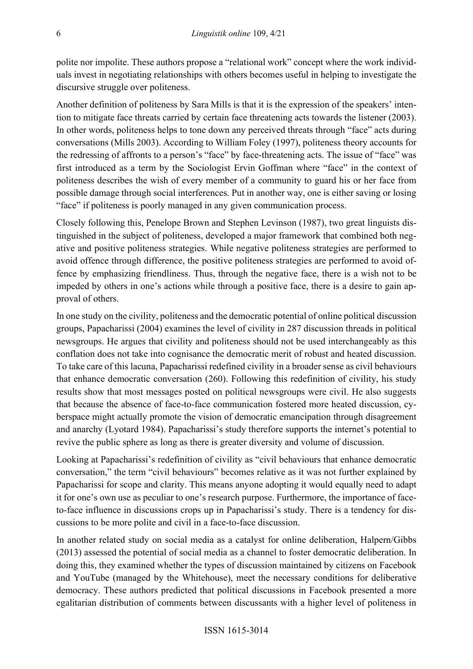polite nor impolite. These authors propose a "relational work" concept where the work individuals invest in negotiating relationships with others becomes useful in helping to investigate the discursive struggle over politeness.

Another definition of politeness by Sara Mills is that it is the expression of the speakers' intention to mitigate face threats carried by certain face threatening acts towards the listener (2003). In other words, politeness helps to tone down any perceived threats through "face" acts during conversations (Mills 2003). According to William Foley (1997), politeness theory accounts for the redressing of affronts to a person's "face" by face-threatening acts. The issue of "face" was first introduced as a term by the Sociologist Ervin Goffman where "face" in the context of politeness describes the wish of every member of a community to guard his or her face from possible damage through social interferences. Put in another way, one is either saving or losing "face" if politeness is poorly managed in any given communication process.

Closely following this, Penelope Brown and Stephen Levinson (1987), two great linguists distinguished in the subject of politeness, developed a major framework that combined both negative and positive politeness strategies. While negative politeness strategies are performed to avoid offence through difference, the positive politeness strategies are performed to avoid offence by emphasizing friendliness. Thus, through the negative face, there is a wish not to be impeded by others in one's actions while through a positive face, there is a desire to gain approval of others.

In one study on the civility, politeness and the democratic potential of online political discussion groups, Papacharissi (2004) examines the level of civility in 287 discussion threads in political newsgroups. He argues that civility and politeness should not be used interchangeably as this conflation does not take into cognisance the democratic merit of robust and heated discussion. To take care of this lacuna, Papacharissi redefined civility in a broader sense as civil behaviours that enhance democratic conversation (260). Following this redefinition of civility, his study results show that most messages posted on political newsgroups were civil. He also suggests that because the absence of face-to-face communication fostered more heated discussion, cyberspace might actually promote the vision of democratic emancipation through disagreement and anarchy (Lyotard 1984). Papacharissi's study therefore supports the internet's potential to revive the public sphere as long as there is greater diversity and volume of discussion.

Looking at Papacharissi's redefinition of civility as "civil behaviours that enhance democratic conversation," the term "civil behaviours" becomes relative as it was not further explained by Papacharissi for scope and clarity. This means anyone adopting it would equally need to adapt it for one's own use as peculiar to one's research purpose. Furthermore, the importance of faceto-face influence in discussions crops up in Papacharissi's study. There is a tendency for discussions to be more polite and civil in a face-to-face discussion.

In another related study on social media as a catalyst for online deliberation, Halpern/Gibbs (2013) assessed the potential of social media as a channel to foster democratic deliberation. In doing this, they examined whether the types of discussion maintained by citizens on Facebook and YouTube (managed by the Whitehouse), meet the necessary conditions for deliberative democracy. These authors predicted that political discussions in Facebook presented a more egalitarian distribution of comments between discussants with a higher level of politeness in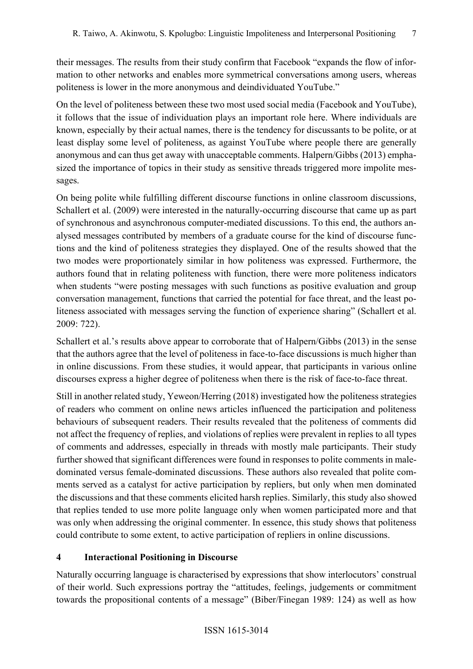their messages. The results from their study confirm that Facebook "expands the flow of information to other networks and enables more symmetrical conversations among users, whereas politeness is lower in the more anonymous and deindividuated YouTube."

On the level of politeness between these two most used social media (Facebook and YouTube), it follows that the issue of individuation plays an important role here. Where individuals are known, especially by their actual names, there is the tendency for discussants to be polite, or at least display some level of politeness, as against YouTube where people there are generally anonymous and can thus get away with unacceptable comments. Halpern/Gibbs (2013) emphasized the importance of topics in their study as sensitive threads triggered more impolite messages.

On being polite while fulfilling different discourse functions in online classroom discussions, Schallert et al. (2009) were interested in the naturally-occurring discourse that came up as part of synchronous and asynchronous computer-mediated discussions. To this end, the authors analysed messages contributed by members of a graduate course for the kind of discourse functions and the kind of politeness strategies they displayed. One of the results showed that the two modes were proportionately similar in how politeness was expressed. Furthermore, the authors found that in relating politeness with function, there were more politeness indicators when students "were posting messages with such functions as positive evaluation and group conversation management, functions that carried the potential for face threat, and the least politeness associated with messages serving the function of experience sharing" (Schallert et al. 2009: 722).

Schallert et al.'s results above appear to corroborate that of Halpern/Gibbs (2013) in the sense that the authors agree that the level of politeness in face-to-face discussions is much higher than in online discussions. From these studies, it would appear, that participants in various online discourses express a higher degree of politeness when there is the risk of face-to-face threat.

Still in another related study, Yeweon/Herring (2018) investigated how the politeness strategies of readers who comment on online news articles influenced the participation and politeness behaviours of subsequent readers. Their results revealed that the politeness of comments did not affect the frequency of replies, and violations of replies were prevalent in replies to all types of comments and addresses, especially in threads with mostly male participants. Their study further showed that significant differences were found in responses to polite comments in maledominated versus female-dominated discussions. These authors also revealed that polite comments served as a catalyst for active participation by repliers, but only when men dominated the discussions and that these comments elicited harsh replies. Similarly, this study also showed that replies tended to use more polite language only when women participated more and that was only when addressing the original commenter. In essence, this study shows that politeness could contribute to some extent, to active participation of repliers in online discussions.

#### 4 Interactional Positioning in Discourse

Naturally occurring language is characterised by expressions that show interlocutors' construal of their world. Such expressions portray the "attitudes, feelings, judgements or commitment towards the propositional contents of a message" (Biber/Finegan 1989: 124) as well as how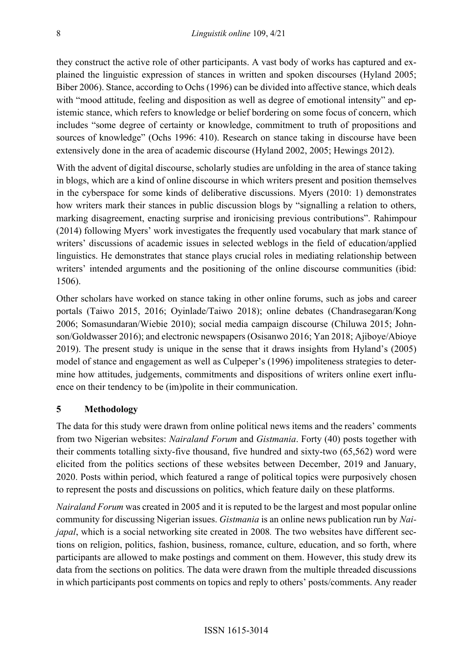they construct the active role of other participants. A vast body of works has captured and explained the linguistic expression of stances in written and spoken discourses (Hyland 2005; Biber 2006). Stance, according to Ochs (1996) can be divided into affective stance, which deals with "mood attitude, feeling and disposition as well as degree of emotional intensity" and epistemic stance, which refers to knowledge or belief bordering on some focus of concern, which includes "some degree of certainty or knowledge, commitment to truth of propositions and sources of knowledge" (Ochs 1996: 410). Research on stance taking in discourse have been extensively done in the area of academic discourse (Hyland 2002, 2005; Hewings 2012).

With the advent of digital discourse, scholarly studies are unfolding in the area of stance taking in blogs, which are a kind of online discourse in which writers present and position themselves in the cyberspace for some kinds of deliberative discussions. Myers (2010: 1) demonstrates how writers mark their stances in public discussion blogs by "signalling a relation to others, marking disagreement, enacting surprise and ironicising previous contributions". Rahimpour (2014) following Myers' work investigates the frequently used vocabulary that mark stance of writers' discussions of academic issues in selected weblogs in the field of education/applied linguistics. He demonstrates that stance plays crucial roles in mediating relationship between writers' intended arguments and the positioning of the online discourse communities (ibid: 1506).

Other scholars have worked on stance taking in other online forums, such as jobs and career portals (Taiwo 2015, 2016; Oyinlade/Taiwo 2018); online debates (Chandrasegaran/Kong 2006; Somasundaran/Wiebie 2010); social media campaign discourse (Chiluwa 2015; Johnson/Goldwasser 2016); and electronic newspapers (Osisanwo 2016; Yan 2018; Ajiboye/Abioye 2019). The present study is unique in the sense that it draws insights from Hyland's (2005) model of stance and engagement as well as Culpeper's (1996) impoliteness strategies to determine how attitudes, judgements, commitments and dispositions of writers online exert influence on their tendency to be (im)polite in their communication.

#### 5 Methodology

The data for this study were drawn from online political news items and the readers' comments from two Nigerian websites: *Nairaland Forum* and *Gistmania*. Forty (40) posts together with their comments totalling sixty-five thousand, five hundred and sixty-two (65,562) word were elicited from the politics sections of these websites between December, 2019 and January, 2020. Posts within period, which featured a range of political topics were purposively chosen to represent the posts and discussions on politics, which feature daily on these platforms.

Nairaland Forum was created in 2005 and it is reputed to be the largest and most popular online community for discussing Nigerian issues. Gistmania is an online news publication run by Nai*japal*, which is a social networking site created in 2008. The two websites have different sections on religion, politics, fashion, business, romance, culture, education, and so forth, where participants are allowed to make postings and comment on them. However, this study drew its data from the sections on politics. The data were drawn from the multiple threaded discussions in which participants post comments on topics and reply to others' posts/comments. Any reader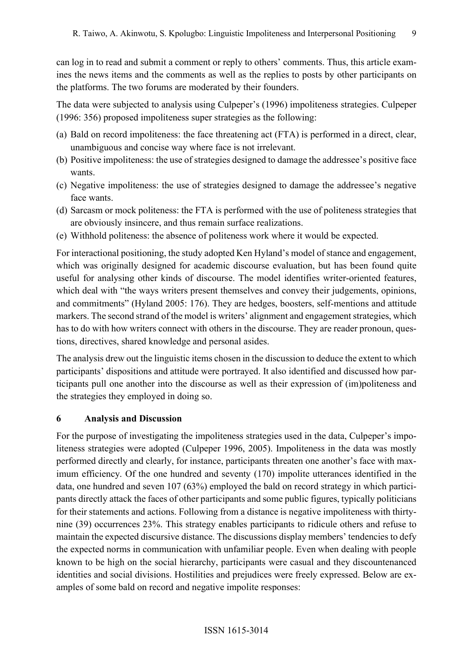can log in to read and submit a comment or reply to others' comments. Thus, this article examines the news items and the comments as well as the replies to posts by other participants on the platforms. The two forums are moderated by their founders.

The data were subjected to analysis using Culpeper's (1996) impoliteness strategies. Culpeper (1996: 356) proposed impoliteness super strategies as the following:

- (a) Bald on record impoliteness: the face threatening act (FTA) is performed in a direct, clear, unambiguous and concise way where face is not irrelevant.
- (b) Positive impoliteness: the use of strategies designed to damage the addressee's positive face wants.
- (c) Negative impoliteness: the use of strategies designed to damage the addressee's negative face wants.
- (d) Sarcasm or mock politeness: the FTA is performed with the use of politeness strategies that are obviously insincere, and thus remain surface realizations.
- (e) Withhold politeness: the absence of politeness work where it would be expected.

For interactional positioning, the study adopted Ken Hyland's model of stance and engagement, which was originally designed for academic discourse evaluation, but has been found quite useful for analysing other kinds of discourse. The model identifies writer-oriented features, which deal with "the ways writers present themselves and convey their judgements, opinions, and commitments" (Hyland 2005: 176). They are hedges, boosters, self-mentions and attitude markers. The second strand of the model is writers' alignment and engagement strategies, which has to do with how writers connect with others in the discourse. They are reader pronoun, questions, directives, shared knowledge and personal asides.

The analysis drew out the linguistic items chosen in the discussion to deduce the extent to which participants' dispositions and attitude were portrayed. It also identified and discussed how participants pull one another into the discourse as well as their expression of (im)politeness and the strategies they employed in doing so.

#### 6 Analysis and Discussion

For the purpose of investigating the impoliteness strategies used in the data, Culpeper's impoliteness strategies were adopted (Culpeper 1996, 2005). Impoliteness in the data was mostly performed directly and clearly, for instance, participants threaten one another's face with maximum efficiency. Of the one hundred and seventy (170) impolite utterances identified in the data, one hundred and seven 107 (63%) employed the bald on record strategy in which participants directly attack the faces of other participants and some public figures, typically politicians for their statements and actions. Following from a distance is negative impoliteness with thirtynine (39) occurrences 23%. This strategy enables participants to ridicule others and refuse to maintain the expected discursive distance. The discussions display members' tendencies to defy the expected norms in communication with unfamiliar people. Even when dealing with people known to be high on the social hierarchy, participants were casual and they discountenanced identities and social divisions. Hostilities and prejudices were freely expressed. Below are examples of some bald on record and negative impolite responses: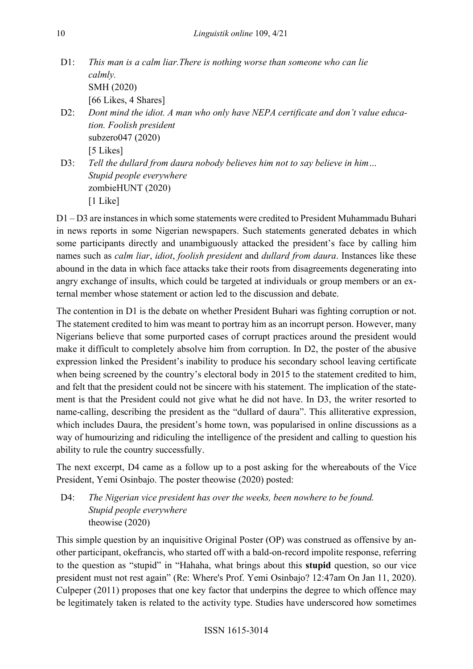| $D1$ : | This man is a calm liar. There is nothing worse than someone who can lie         |  |
|--------|----------------------------------------------------------------------------------|--|
|        | calmly.                                                                          |  |
|        | SMH (2020)                                                                       |  |
|        | [66 Likes, 4 Shares]                                                             |  |
| $D2$ : | Dont mind the idiot. A man who only have NEPA certificate and don't value educa- |  |
|        | tion. Foolish president                                                          |  |
|        | subzero $047(2020)$                                                              |  |

[5 Likes]

D3: Tell the dullard from daura nobody believes him not to say believe in him... Stupid people everywhere zombieHUNT (2020) [1 Like]

D1 – D3 are instances in which some statements were credited to President Muhammadu Buhari in news reports in some Nigerian newspapers. Such statements generated debates in which some participants directly and unambiguously attacked the president's face by calling him names such as calm liar, idiot, foolish president and dullard from daura. Instances like these abound in the data in which face attacks take their roots from disagreements degenerating into angry exchange of insults, which could be targeted at individuals or group members or an external member whose statement or action led to the discussion and debate.

The contention in D1 is the debate on whether President Buhari was fighting corruption or not. The statement credited to him was meant to portray him as an incorrupt person. However, many Nigerians believe that some purported cases of corrupt practices around the president would make it difficult to completely absolve him from corruption. In D2, the poster of the abusive expression linked the President's inability to produce his secondary school leaving certificate when being screened by the country's electoral body in 2015 to the statement credited to him, and felt that the president could not be sincere with his statement. The implication of the statement is that the President could not give what he did not have. In D3, the writer resorted to name-calling, describing the president as the "dullard of daura". This alliterative expression, which includes Daura, the president's home town, was popularised in online discussions as a way of humourizing and ridiculing the intelligence of the president and calling to question his ability to rule the country successfully.

The next excerpt, D4 came as a follow up to a post asking for the whereabouts of the Vice President, Yemi Osinbajo. The poster theowise (2020) posted:

D4: The Nigerian vice president has over the weeks, been nowhere to be found. Stupid people everywhere theowise (2020)

This simple question by an inquisitive Original Poster (OP) was construed as offensive by another participant, okefrancis, who started off with a bald-on-record impolite response, referring to the question as "stupid" in "Hahaha, what brings about this stupid question, so our vice president must not rest again" (Re: Where's Prof. Yemi Osinbajo? 12:47am On Jan 11, 2020). Culpeper (2011) proposes that one key factor that underpins the degree to which offence may be legitimately taken is related to the activity type. Studies have underscored how sometimes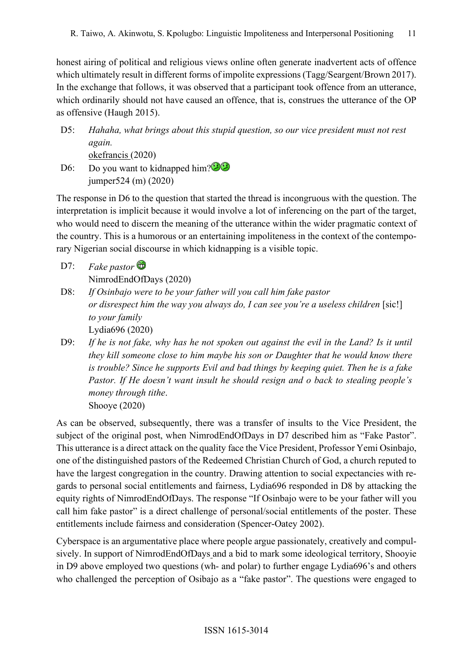honest airing of political and religious views online often generate inadvertent acts of offence which ultimately result in different forms of impolite expressions (Tagg/Seargent/Brown 2017). In the exchange that follows, it was observed that a participant took offence from an utterance, which ordinarily should not have caused an offence, that is, construes the utterance of the OP as offensive (Haugh 2015).

- D5: Hahaha, what brings about this stupid question, so our vice president must not rest again. okefrancis (2020)
- D6: Do you want to kidnapped him?<sup>202</sup> jumper524 (m) (2020)

The response in D6 to the question that started the thread is incongruous with the question. The interpretation is implicit because it would involve a lot of inferencing on the part of the target, who would need to discern the meaning of the utterance within the wider pragmatic context of the country. This is a humorous or an entertaining impoliteness in the context of the contemporary Nigerian social discourse in which kidnapping is a visible topic.

- D7: Fake pastor  $\mathbf{\widehat{\omega}}$ NimrodEndOfDays (2020)
- D8: If Osinbajo were to be your father will you call him fake pastor or disrespect him the way you always do, I can see you're a useless children [sic!] to your family Lydia696 (2020)
- D9: If he is not fake, why has he not spoken out against the evil in the Land? Is it until they kill someone close to him maybe his son or Daughter that he would know there is trouble? Since he supports Evil and bad things by keeping quiet. Then he is a fake Pastor. If He doesn't want insult he should resign and o back to stealing people's money through tithe. Shooye (2020)

As can be observed, subsequently, there was a transfer of insults to the Vice President, the subject of the original post, when NimrodEndOfDays in D7 described him as "Fake Pastor". This utterance is a direct attack on the quality face the Vice President, Professor Yemi Osinbajo, one of the distinguished pastors of the Redeemed Christian Church of God, a church reputed to have the largest congregation in the country. Drawing attention to social expectancies with regards to personal social entitlements and fairness, Lydia696 responded in D8 by attacking the equity rights of NimrodEndOfDays. The response "If Osinbajo were to be your father will you call him fake pastor" is a direct challenge of personal/social entitlements of the poster. These entitlements include fairness and consideration (Spencer-Oatey 2002).

Cyberspace is an argumentative place where people argue passionately, creatively and compulsively. In support of NimrodEndOfDays and a bid to mark some ideological territory, Shooyie in D9 above employed two questions (wh- and polar) to further engage Lydia696's and others who challenged the perception of Osibajo as a "fake pastor". The questions were engaged to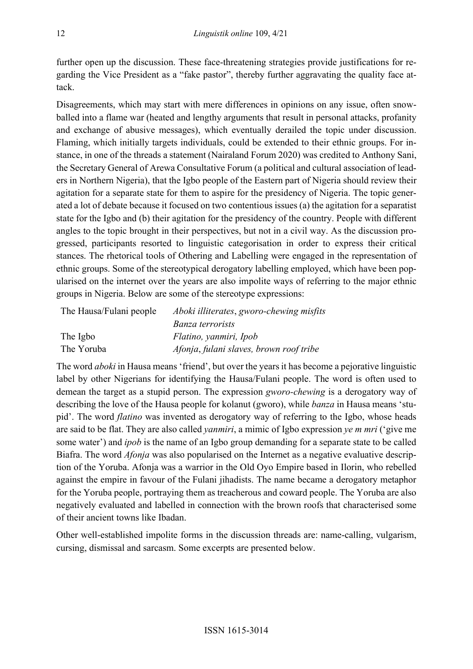further open up the discussion. These face-threatening strategies provide justifications for regarding the Vice President as a "fake pastor", thereby further aggravating the quality face attack.

Disagreements, which may start with mere differences in opinions on any issue, often snowballed into a flame war (heated and lengthy arguments that result in personal attacks, profanity and exchange of abusive messages), which eventually derailed the topic under discussion. Flaming, which initially targets individuals, could be extended to their ethnic groups. For instance, in one of the threads a statement (Nairaland Forum 2020) was credited to Anthony Sani, the Secretary General of Arewa Consultative Forum (a political and cultural association of leaders in Northern Nigeria), that the Igbo people of the Eastern part of Nigeria should review their agitation for a separate state for them to aspire for the presidency of Nigeria. The topic generated a lot of debate because it focused on two contentious issues (a) the agitation for a separatist state for the Igbo and (b) their agitation for the presidency of the country. People with different angles to the topic brought in their perspectives, but not in a civil way. As the discussion progressed, participants resorted to linguistic categorisation in order to express their critical stances. The rhetorical tools of Othering and Labelling were engaged in the representation of ethnic groups. Some of the stereotypical derogatory labelling employed, which have been popularised on the internet over the years are also impolite ways of referring to the major ethnic groups in Nigeria. Below are some of the stereotype expressions:

| The Hausa/Fulani people | Aboki illiterates, gworo-chewing misfits |
|-------------------------|------------------------------------------|
|                         | Banza terrorists                         |
| The Igbo                | Flatino, yanmiri, Ipob                   |
| The Yoruba              | Afonja, fulani slaves, brown roof tribe  |

The word *aboki* in Hausa means 'friend', but over the years it has become a pejorative linguistic label by other Nigerians for identifying the Hausa/Fulani people. The word is often used to demean the target as a stupid person. The expression gworo-chewing is a derogatory way of describing the love of the Hausa people for kolanut (gworo), while banza in Hausa means 'stupid'. The word flatino was invented as derogatory way of referring to the Igbo, whose heads are said to be flat. They are also called yanmiri, a mimic of Igbo expression ye m mri ('give me some water') and *ipob* is the name of an Igbo group demanding for a separate state to be called Biafra. The word Afonja was also popularised on the Internet as a negative evaluative description of the Yoruba. Afonja was a warrior in the Old Oyo Empire based in Ilorin, who rebelled against the empire in favour of the Fulani jihadists. The name became a derogatory metaphor for the Yoruba people, portraying them as treacherous and coward people. The Yoruba are also negatively evaluated and labelled in connection with the brown roofs that characterised some of their ancient towns like Ibadan.

Other well-established impolite forms in the discussion threads are: name-calling, vulgarism, cursing, dismissal and sarcasm. Some excerpts are presented below.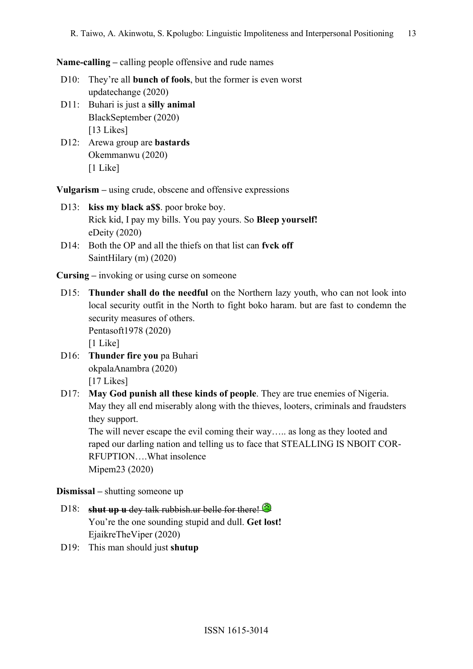Name-calling – calling people offensive and rude names

- D10: They're all **bunch of fools**, but the former is even worst updatechange (2020)
- D11: Buhari is just a silly animal BlackSeptember (2020) [13 Likes]
- D12: Arewa group are **bastards**  Okemmanwu (2020) [1 Like]

Vulgarism – using crude, obscene and offensive expressions

- D13: kiss my black a\$\$, poor broke boy. Rick kid, I pay my bills. You pay yours. So Bleep yourself! eDeity (2020)
- D14: Both the OP and all the thiefs on that list can fyck off SaintHilary (m) (2020)

Cursing – invoking or using curse on someone

- D15: Thunder shall do the needful on the Northern lazy youth, who can not look into local security outfit in the North to fight boko haram. but are fast to condemn the security measures of others. Pentasoft1978 (2020) [1 Like]
- D16: Thunder fire you pa Buhari okpalaAnambra (2020) [17 Likes]
- D17: May God punish all these kinds of people. They are true enemies of Nigeria. May they all end miserably along with the thieves, looters, criminals and fraudsters they support.

The will never escape the evil coming their way….. as long as they looted and raped our darling nation and telling us to face that STEALLING IS NBOIT COR-RFUPTION….What insolence Mipem23 (2020)

Dismissal – shutting someone up

# D18: shut up u dey talk rubbish.ur belle for there! You're the one sounding stupid and dull. Get lost! EjaikreTheViper (2020)

D19: This man should just shutup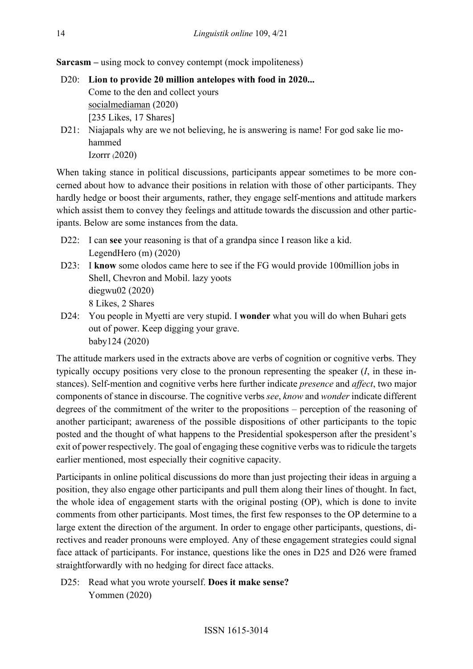Sarcasm – using mock to convey contempt (mock impoliteness)

- D20: Lion to provide 20 million antelopes with food in 2020... Come to the den and collect yours socialmediaman (2020) [235 Likes, 17 Shares]
- D21: Niajapals why are we not believing, he is answering is name! For god sake lie mohammed Izorrr (2020)

When taking stance in political discussions, participants appear sometimes to be more concerned about how to advance their positions in relation with those of other participants. They hardly hedge or boost their arguments, rather, they engage self-mentions and attitude markers which assist them to convey they feelings and attitude towards the discussion and other participants. Below are some instances from the data.

- D22: I can see your reasoning is that of a grandpa since I reason like a kid. LegendHero (m) (2020)
- D23: I know some olodos came here to see if the FG would provide 100million jobs in Shell, Chevron and Mobil. lazy yoots diegwu02 (2020) 8 Likes, 2 Shares
- D24: You people in Myetti are very stupid. I **wonder** what you will do when Buhari gets out of power. Keep digging your grave. baby124 (2020)

The attitude markers used in the extracts above are verbs of cognition or cognitive verbs. They typically occupy positions very close to the pronoun representing the speaker  $(I, \text{ in these in-})$ stances). Self-mention and cognitive verbs here further indicate presence and affect, two major components of stance in discourse. The cognitive verbs see, know and wonder indicate different degrees of the commitment of the writer to the propositions – perception of the reasoning of another participant; awareness of the possible dispositions of other participants to the topic posted and the thought of what happens to the Presidential spokesperson after the president's exit of power respectively. The goal of engaging these cognitive verbs was to ridicule the targets earlier mentioned, most especially their cognitive capacity.

Participants in online political discussions do more than just projecting their ideas in arguing a position, they also engage other participants and pull them along their lines of thought. In fact, the whole idea of engagement starts with the original posting (OP), which is done to invite comments from other participants. Most times, the first few responses to the OP determine to a large extent the direction of the argument. In order to engage other participants, questions, directives and reader pronouns were employed. Any of these engagement strategies could signal face attack of participants. For instance, questions like the ones in D25 and D26 were framed straightforwardly with no hedging for direct face attacks.

D25: Read what you wrote yourself. Does it make sense? Yommen (2020)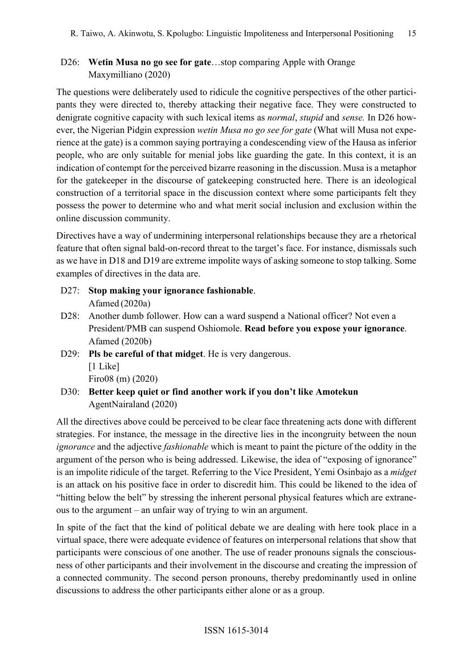# D26: Wetin Musa no go see for gate...stop comparing Apple with Orange Maxymilliano (2020)

The questions were deliberately used to ridicule the cognitive perspectives of the other participants they were directed to, thereby attacking their negative face. They were constructed to denigrate cognitive capacity with such lexical items as *normal*, *stupid* and *sense*. In D26 however, the Nigerian Pidgin expression wetin Musa no go see for gate (What will Musa not experience at the gate) is a common saying portraying a condescending view of the Hausa as inferior people, who are only suitable for menial jobs like guarding the gate. In this context, it is an indication of contempt for the perceived bizarre reasoning in the discussion. Musa is a metaphor for the gatekeeper in the discourse of gatekeeping constructed here. There is an ideological construction of a territorial space in the discussion context where some participants felt they possess the power to determine who and what merit social inclusion and exclusion within the online discussion community.

Directives have a way of undermining interpersonal relationships because they are a rhetorical feature that often signal bald-on-record threat to the target's face. For instance, dismissals such as we have in D18 and D19 are extreme impolite ways of asking someone to stop talking. Some examples of directives in the data are.

- D27: Stop making your ignorance fashionable. Afamed (2020a)
- D28: Another dumb follower. How can a ward suspend a National officer? Not even a President/PMB can suspend Oshiomole. Read before you expose your ignorance. Afamed (2020b)
- D29: Pls be careful of that midget. He is very dangerous. [1 Like] Firo08 (m) (2020)
- D30: Better keep quiet or find another work if you don't like Amotekun AgentNairaland (2020)

All the directives above could be perceived to be clear face threatening acts done with different strategies. For instance, the message in the directive lies in the incongruity between the noun ignorance and the adjective fashionable which is meant to paint the picture of the oddity in the argument of the person who is being addressed. Likewise, the idea of "exposing of ignorance" is an impolite ridicule of the target. Referring to the Vice President, Yemi Osinbajo as a midget is an attack on his positive face in order to discredit him. This could be likened to the idea of "hitting below the belt" by stressing the inherent personal physical features which are extraneous to the argument – an unfair way of trying to win an argument.

In spite of the fact that the kind of political debate we are dealing with here took place in a virtual space, there were adequate evidence of features on interpersonal relations that show that participants were conscious of one another. The use of reader pronouns signals the consciousness of other participants and their involvement in the discourse and creating the impression of a connected community. The second person pronouns, thereby predominantly used in online discussions to address the other participants either alone or as a group.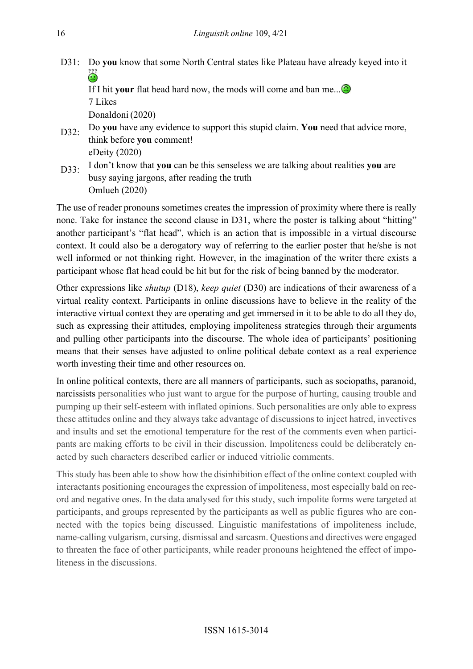D31: Do you know that some North Central states like Plateau have already keyed into it ۵

If I hit your flat head hard now, the mods will come and ban me.... 7 Likes

Donaldoni (2020)

- D32: Do you have any evidence to support this stupid claim. You need that advice more, think before you comment! eDeity (2020)
- D33: I don't know that you can be this senseless we are talking about realities you are busy saying jargons, after reading the truth Omlueh (2020)

The use of reader pronouns sometimes creates the impression of proximity where there is really none. Take for instance the second clause in D31, where the poster is talking about "hitting" another participant's "flat head", which is an action that is impossible in a virtual discourse context. It could also be a derogatory way of referring to the earlier poster that he/she is not well informed or not thinking right. However, in the imagination of the writer there exists a participant whose flat head could be hit but for the risk of being banned by the moderator.

Other expressions like shutup (D18), keep quiet (D30) are indications of their awareness of a virtual reality context. Participants in online discussions have to believe in the reality of the interactive virtual context they are operating and get immersed in it to be able to do all they do, such as expressing their attitudes, employing impoliteness strategies through their arguments and pulling other participants into the discourse. The whole idea of participants' positioning means that their senses have adjusted to online political debate context as a real experience worth investing their time and other resources on.

In online political contexts, there are all manners of participants, such as sociopaths, paranoid, narcissists personalities who just want to argue for the purpose of hurting, causing trouble and pumping up their self-esteem with inflated opinions. Such personalities are only able to express these attitudes online and they always take advantage of discussions to inject hatred, invectives and insults and set the emotional temperature for the rest of the comments even when participants are making efforts to be civil in their discussion. Impoliteness could be deliberately enacted by such characters described earlier or induced vitriolic comments.

This study has been able to show how the disinhibition effect of the online context coupled with interactants positioning encourages the expression of impoliteness, most especially bald on record and negative ones. In the data analysed for this study, such impolite forms were targeted at participants, and groups represented by the participants as well as public figures who are connected with the topics being discussed. Linguistic manifestations of impoliteness include, name-calling vulgarism, cursing, dismissal and sarcasm. Questions and directives were engaged to threaten the face of other participants, while reader pronouns heightened the effect of impoliteness in the discussions.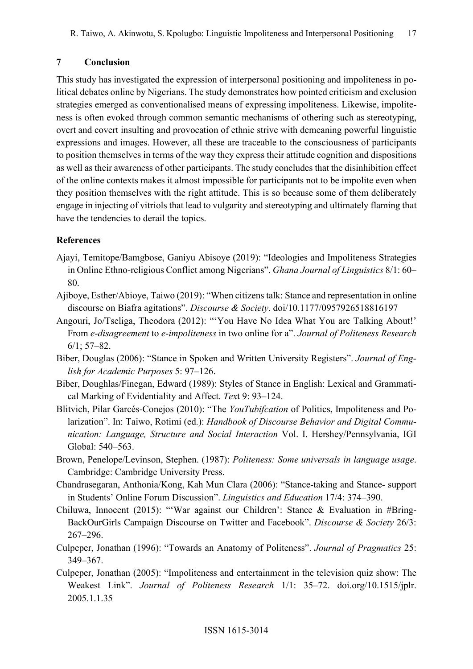#### 7 Conclusion

This study has investigated the expression of interpersonal positioning and impoliteness in political debates online by Nigerians. The study demonstrates how pointed criticism and exclusion strategies emerged as conventionalised means of expressing impoliteness. Likewise, impoliteness is often evoked through common semantic mechanisms of othering such as stereotyping, overt and covert insulting and provocation of ethnic strive with demeaning powerful linguistic expressions and images. However, all these are traceable to the consciousness of participants to position themselves in terms of the way they express their attitude cognition and dispositions as well as their awareness of other participants. The study concludes that the disinhibition effect of the online contexts makes it almost impossible for participants not to be impolite even when they position themselves with the right attitude. This is so because some of them deliberately engage in injecting of vitriols that lead to vulgarity and stereotyping and ultimately flaming that have the tendencies to derail the topics.

#### References

- Ajayi, Temitope/Bamgbose, Ganiyu Abisoye (2019): "Ideologies and Impoliteness Strategies in Online Ethno-religious Conflict among Nigerians". Ghana Journal of Linguistics 8/1: 60– 80.
- Ajiboye, Esther/Abioye, Taiwo (2019): "When citizens talk: Stance and representation in online discourse on Biafra agitations". Discourse & Society. doi/10.1177/0957926518816197
- Angouri, Jo/Tseliga, Theodora (2012): "'You Have No Idea What You are Talking About!' From e-disagreement to e-impoliteness in two online for a". Journal of Politeness Research 6/1; 57–82.
- Biber, Douglas (2006): "Stance in Spoken and Written University Registers". Journal of English for Academic Purposes 5: 97–126.
- Biber, Doughlas/Finegan, Edward (1989): Styles of Stance in English: Lexical and Grammatical Marking of Evidentiality and Affect. Text 9: 93–124.
- Blitvich, Pilar Garcés-Conejos (2010): "The YouTubifcation of Politics, Impoliteness and Polarization". In: Taiwo, Rotimi (ed.): Handbook of Discourse Behavior and Digital Communication: Language, Structure and Social Interaction Vol. I. Hershey/Pennsylvania, IGI Global: 540–563.
- Brown, Penelope/Levinson, Stephen. (1987): Politeness: Some universals in language usage. Cambridge: Cambridge University Press.
- Chandrasegaran, Anthonia/Kong, Kah Mun Clara (2006): "Stance-taking and Stance- support in Students' Online Forum Discussion". Linguistics and Education 17/4: 374–390.
- Chiluwa, Innocent (2015): "'War against our Children': Stance & Evaluation in #Bring-BackOurGirls Campaign Discourse on Twitter and Facebook". Discourse & Society 26/3: 267–296.
- Culpeper, Jonathan (1996): "Towards an Anatomy of Politeness". Journal of Pragmatics 25: 349–367.
- Culpeper, Jonathan (2005): "Impoliteness and entertainment in the television quiz show: The Weakest Link". Journal of Politeness Research 1/1: 35–72. doi.org/10.1515/jplr. 2005.1.1.35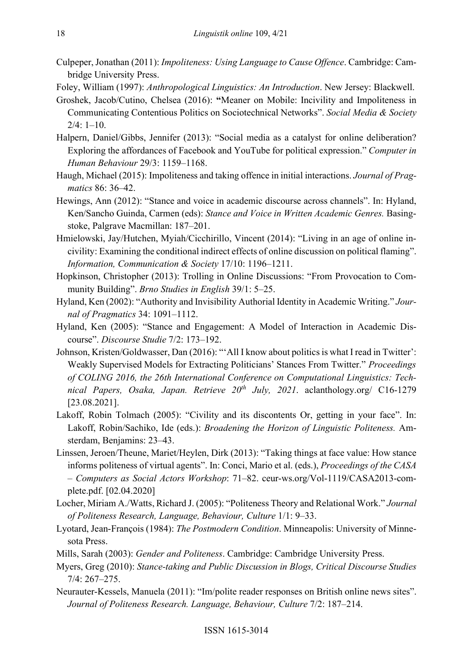- Culpeper, Jonathan (2011): Impoliteness: Using Language to Cause Offence. Cambridge: Cambridge University Press.
- Foley, William (1997): Anthropological Linguistics: An Introduction. New Jersey: Blackwell.
- Groshek, Jacob/Cutino, Chelsea (2016): "Meaner on Mobile: Incivility and Impoliteness in Communicating Contentious Politics on Sociotechnical Networks". Social Media & Society  $2/4: 1-10.$
- Halpern, Daniel/Gibbs, Jennifer (2013): "Social media as a catalyst for online deliberation? Exploring the affordances of Facebook and YouTube for political expression." Computer in Human Behaviour 29/3: 1159–1168.
- Haugh, Michael (2015): Impoliteness and taking offence in initial interactions. Journal of Pragmatics 86: 36–42.
- Hewings, Ann (2012): "Stance and voice in academic discourse across channels". In: Hyland, Ken/Sancho Guinda, Carmen (eds): Stance and Voice in Written Academic Genres. Basingstoke, Palgrave Macmillan: 187–201.
- Hmielowski, Jay/Hutchen, Myiah/Cicchirillo, Vincent (2014): "Living in an age of online incivility: Examining the conditional indirect effects of online discussion on political flaming". Information, Communication & Society 17/10: 1196–1211.
- Hopkinson, Christopher (2013): Trolling in Online Discussions: "From Provocation to Community Building". Brno Studies in English 39/1: 5–25.
- Hyland, Ken (2002): "Authority and Invisibility Authorial Identity in Academic Writing." Journal of Pragmatics 34: 1091–1112.
- Hyland, Ken (2005): "Stance and Engagement: A Model of Interaction in Academic Discourse". Discourse Studie 7/2: 173–192.
- Johnson, Kristen/Goldwasser, Dan (2016): "'All I know about politics is what I read in Twitter': Weakly Supervised Models for Extracting Politicians' Stances From Twitter." Proceedings of COLING 2016, the 26th International Conference on Computational Linguistics: Technical Papers, Osaka, Japan. Retrieve  $20^{th}$  July, 2021. aclanthology.org/ C16-1279 [23.08.2021].
- Lakoff, Robin Tolmach (2005): "Civility and its discontents Or, getting in your face". In: Lakoff, Robin/Sachiko, Ide (eds.): Broadening the Horizon of Linguistic Politeness. Amsterdam, Benjamins: 23–43.
- Linssen, Jeroen/Theune, Mariet/Heylen, Dirk (2013): "Taking things at face value: How stance informs politeness of virtual agents". In: Conci, Mario et al. (eds.), Proceedings of the CASA – Computers as Social Actors Workshop: 71–82. ceur-ws.org/Vol-1119/CASA2013-complete.pdf. [02.04.2020]
- Locher, Miriam A./Watts, Richard J. (2005): "Politeness Theory and Relational Work." Journal of Politeness Research, Language, Behaviour, Culture 1/1: 9–33.
- Lyotard, Jean-François (1984): The Postmodern Condition. Minneapolis: University of Minnesota Press.
- Mills, Sarah (2003): Gender and Politeness. Cambridge: Cambridge University Press.
- Myers, Greg (2010): Stance-taking and Public Discussion in Blogs, Critical Discourse Studies 7/4: 267–275.
- Neurauter-Kessels, Manuela (2011): "Im/polite reader responses on British online news sites". Journal of Politeness Research. Language, Behaviour, Culture 7/2: 187–214.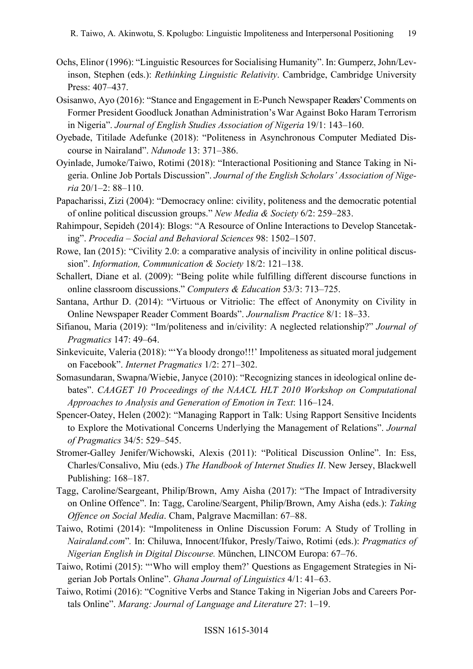- Ochs, Elinor (1996): "Linguistic Resources for Socialising Humanity". In: Gumperz, John/Levinson, Stephen (eds.): Rethinking Linguistic Relativity. Cambridge, Cambridge University Press: 407–437.
- Osisanwo, Ayo (2016): "Stance and Engagement in E-Punch Newspaper Readers' Comments on Former President Goodluck Jonathan Administration's War Against Boko Haram Terrorism in Nigeria". Journal of English Studies Association of Nigeria 19/1: 143–160.
- Oyebade, Titilade Adefunke (2018): "Politeness in Asynchronous Computer Mediated Discourse in Nairaland". Ndunode 13: 371–386.
- Oyinlade, Jumoke/Taiwo, Rotimi (2018): "Interactional Positioning and Stance Taking in Nigeria. Online Job Portals Discussion". Journal of the English Scholars' Association of Nigeria 20/1–2: 88–110.
- Papacharissi, Zizi (2004): "Democracy online: civility, politeness and the democratic potential of online political discussion groups." New Media & Society 6/2: 259–283.
- Rahimpour, Sepideh (2014): Blogs: "A Resource of Online Interactions to Develop Stancetaking". Procedia – Social and Behavioral Sciences 98: 1502–1507.
- Rowe, Ian (2015): "Civility 2.0: a comparative analysis of incivility in online political discussion". Information, Communication & Society 18/2: 121-138.
- Schallert, Diane et al. (2009): "Being polite while fulfilling different discourse functions in online classroom discussions." Computers & Education 53/3: 713–725.
- Santana, Arthur D. (2014): "Virtuous or Vitriolic: The effect of Anonymity on Civility in Online Newspaper Reader Comment Boards". Journalism Practice 8/1: 18–33.
- Sifianou, Maria (2019): "Im/politeness and in/civility: A neglected relationship?" Journal of Pragmatics 147: 49–64.
- Sinkevicuite, Valeria (2018): "'Ya bloody drongo!!!' Impoliteness as situated moral judgement on Facebook". Internet Pragmatics 1/2: 271–302.
- Somasundaran, Swapna/Wiebie, Janyce (2010): "Recognizing stances in ideological online debates". CAAGET 10 Proceedings of the NAACL HLT 2010 Workshop on Computational Approaches to Analysis and Generation of Emotion in Text: 116–124.
- Spencer-Oatey, Helen (2002): "Managing Rapport in Talk: Using Rapport Sensitive Incidents to Explore the Motivational Concerns Underlying the Management of Relations". Journal of Pragmatics 34/5: 529–545.
- Stromer-Galley Jenifer/Wichowski, Alexis (2011): "Political Discussion Online". In: Ess, Charles/Consalivo, Miu (eds.) The Handbook of Internet Studies II. New Jersey, Blackwell Publishing: 168–187.
- Tagg, Caroline/Seargeant, Philip/Brown, Amy Aisha (2017): "The Impact of Intradiversity on Online Offence". In: Tagg, Caroline/Seargent, Philip/Brown, Amy Aisha (eds.): Taking Offence on Social Media. Cham, Palgrave Macmillan: 67–88.
- Taiwo, Rotimi (2014): "Impoliteness in Online Discussion Forum: A Study of Trolling in Nairaland.com". In: Chiluwa, Innocent/Ifukor, Presly/Taiwo, Rotimi (eds.): Pragmatics of Nigerian English in Digital Discourse. München, LINCOM Europa: 67–76.
- Taiwo, Rotimi (2015): "'Who will employ them?' Questions as Engagement Strategies in Nigerian Job Portals Online". Ghana Journal of Linguistics 4/1: 41–63.
- Taiwo, Rotimi (2016): "Cognitive Verbs and Stance Taking in Nigerian Jobs and Careers Portals Online". Marang: Journal of Language and Literature 27: 1–19.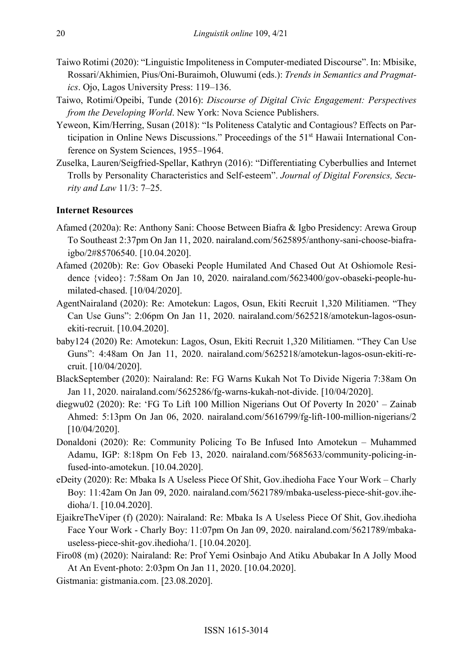- Taiwo Rotimi (2020): "Linguistic Impoliteness in Computer-mediated Discourse". In: Mbisike, Rossari/Akhimien, Pius/Oni-Buraimoh, Oluwumi (eds.): Trends in Semantics and Pragmatics. Ojo, Lagos University Press: 119–136.
- Taiwo, Rotimi/Opeibi, Tunde (2016): Discourse of Digital Civic Engagement: Perspectives from the Developing World. New York: Nova Science Publishers.
- Yeweon, Kim/Herring, Susan (2018): "Is Politeness Catalytic and Contagious? Effects on Participation in Online News Discussions." Proceedings of the 51<sup>st</sup> Hawaii International Conference on System Sciences, 1955–1964.
- Zuselka, Lauren/Seigfried-Spellar, Kathryn (2016): "Differentiating Cyberbullies and Internet Trolls by Personality Characteristics and Self-esteem". Journal of Digital Forensics, Security and Law 11/3: 7–25.

#### Internet Resources

- Afamed (2020a): Re: Anthony Sani: Choose Between Biafra & Igbo Presidency: Arewa Group To Southeast 2:37pm On Jan 11, 2020. nairaland.com/5625895/anthony-sani-choose-biafraigbo/2#85706540. [10.04.2020].
- Afamed (2020b): Re: Gov Obaseki People Humilated And Chased Out At Oshiomole Residence {video}: 7:58am On Jan 10, 2020. nairaland.com/5623400/gov-obaseki-people-humilated-chased. [10/04/2020].
- AgentNairaland (2020): Re: Amotekun: Lagos, Osun, Ekiti Recruit 1,320 Militiamen. "They Can Use Guns": 2:06pm On Jan 11, 2020. nairaland.com/5625218/amotekun-lagos-osunekiti-recruit. [10.04.2020].
- baby124 (2020) Re: Amotekun: Lagos, Osun, Ekiti Recruit 1,320 Militiamen. "They Can Use Guns": 4:48am On Jan 11, 2020. nairaland.com/5625218/amotekun-lagos-osun-ekiti-recruit. [10/04/2020].
- BlackSeptember (2020): Nairaland: Re: FG Warns Kukah Not To Divide Nigeria 7:38am On Jan 11, 2020. nairaland.com/5625286/fg-warns-kukah-not-divide. [10/04/2020].
- diegwu02 (2020): Re: 'FG To Lift 100 Million Nigerians Out Of Poverty In 2020' Zainab Ahmed: 5:13pm On Jan 06, 2020. nairaland.com/5616799/fg-lift-100-million-nigerians/2 [10/04/2020].
- Donaldoni (2020): Re: Community Policing To Be Infused Into Amotekun Muhammed Adamu, IGP: 8:18pm On Feb 13, 2020. nairaland.com/5685633/community-policing-infused-into-amotekun. [10.04.2020].
- eDeity (2020): Re: Mbaka Is A Useless Piece Of Shit, Gov.ihedioha Face Your Work Charly Boy: 11:42am On Jan 09, 2020. nairaland.com/5621789/mbaka-useless-piece-shit-gov.ihedioha/1. [10.04.2020].
- EjaikreTheViper (f) (2020): Nairaland: Re: Mbaka Is A Useless Piece Of Shit, Gov.ihedioha Face Your Work - Charly Boy: 11:07pm On Jan 09, 2020. nairaland.com/5621789/mbakauseless-piece-shit-gov.ihedioha/1. [10.04.2020].
- Firo08 (m) (2020): Nairaland: Re: Prof Yemi Osinbajo And Atiku Abubakar In A Jolly Mood At An Event-photo: 2:03pm On Jan 11, 2020. [10.04.2020].
- Gistmania: gistmania.com. [23.08.2020].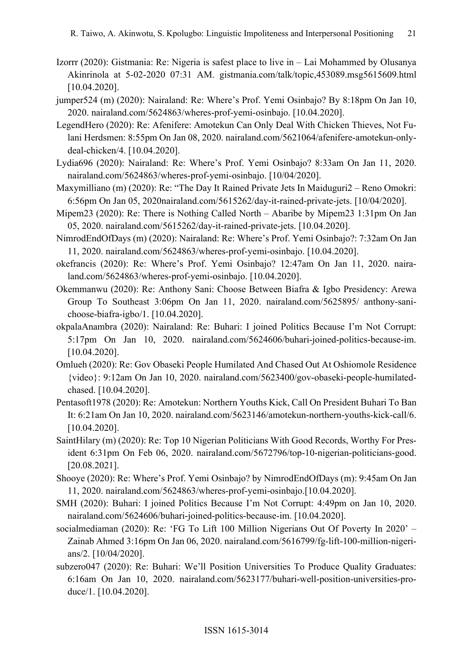- Izorrr (2020): Gistmania: Re: Nigeria is safest place to live in Lai Mohammed by Olusanya Akinrinola at 5-02-2020 07:31 AM. gistmania.com/talk/topic,453089.msg5615609.html [10.04.2020].
- jumper524 (m) (2020): Nairaland: Re: Where's Prof. Yemi Osinbajo? By 8:18pm On Jan 10, 2020. nairaland.com/5624863/wheres-prof-yemi-osinbajo. [10.04.2020].
- LegendHero (2020): Re: Afenifere: Amotekun Can Only Deal With Chicken Thieves, Not Fulani Herdsmen: 8:55pm On Jan 08, 2020. nairaland.com/5621064/afenifere-amotekun-onlydeal-chicken/4. [10.04.2020].
- Lydia696 (2020): Nairaland: Re: Where's Prof. Yemi Osinbajo? 8:33am On Jan 11, 2020. nairaland.com/5624863/wheres-prof-yemi-osinbajo. [10/04/2020].
- Maxymilliano (m) (2020): Re: "The Day It Rained Private Jets In Maiduguri2 Reno Omokri: 6:56pm On Jan 05, 2020nairaland.com/5615262/day-it-rained-private-jets. [10/04/2020].
- Mipem23 (2020): Re: There is Nothing Called North Abaribe by Mipem23 1:31pm On Jan 05, 2020. nairaland.com/5615262/day-it-rained-private-jets. [10.04.2020].
- NimrodEndOfDays (m) (2020): Nairaland: Re: Where's Prof. Yemi Osinbajo?: 7:32am On Jan 11, 2020. nairaland.com/5624863/wheres-prof-yemi-osinbajo. [10.04.2020].
- okefrancis (2020): Re: Where's Prof. Yemi Osinbajo? 12:47am On Jan 11, 2020. nairaland.com/5624863/wheres-prof-yemi-osinbajo. [10.04.2020].
- Okemmanwu (2020): Re: Anthony Sani: Choose Between Biafra & Igbo Presidency: Arewa Group To Southeast 3:06pm On Jan 11, 2020. nairaland.com/5625895/ anthony-sanichoose-biafra-igbo/1. [10.04.2020].
- okpalaAnambra (2020): Nairaland: Re: Buhari: I joined Politics Because I'm Not Corrupt: 5:17pm On Jan 10, 2020. nairaland.com/5624606/buhari-joined-politics-because-im. [10.04.2020].
- Omlueh (2020): Re: Gov Obaseki People Humilated And Chased Out At Oshiomole Residence {video}: 9:12am On Jan 10, 2020. nairaland.com/5623400/gov-obaseki-people-humilatedchased. [10.04.2020].
- Pentasoft1978 (2020): Re: Amotekun: Northern Youths Kick, Call On President Buhari To Ban It: 6:21am On Jan 10, 2020. nairaland.com/5623146/amotekun-northern-youths-kick-call/6. [10.04.2020].
- SaintHilary (m) (2020): Re: Top 10 Nigerian Politicians With Good Records, Worthy For President 6:31pm On Feb 06, 2020. nairaland.com/5672796/top-10-nigerian-politicians-good. [20.08.2021].
- Shooye (2020): Re: Where's Prof. Yemi Osinbajo? by NimrodEndOfDays (m): 9:45am On Jan 11, 2020. nairaland.com/5624863/wheres-prof-yemi-osinbajo.[10.04.2020].
- SMH (2020): Buhari: I joined Politics Because I'm Not Corrupt: 4:49pm on Jan 10, 2020. nairaland.com/5624606/buhari-joined-politics-because-im. [10.04.2020].
- socialmediaman (2020): Re: 'FG To Lift 100 Million Nigerians Out Of Poverty In 2020' Zainab Ahmed 3:16pm On Jan 06, 2020. nairaland.com/5616799/fg-lift-100-million-nigerians/2. [10/04/2020].
- subzero047 (2020): Re: Buhari: We'll Position Universities To Produce Quality Graduates: 6:16am On Jan 10, 2020. nairaland.com/5623177/buhari-well-position-universities-produce/1. [10.04.2020].